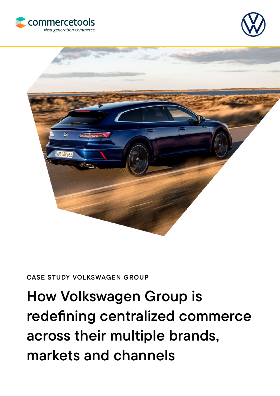





#### CASE STUDY VOLKSWAGEN GROUP

# How Volkswagen Group is redefining centralized commerce across their multiple brands, markets and channels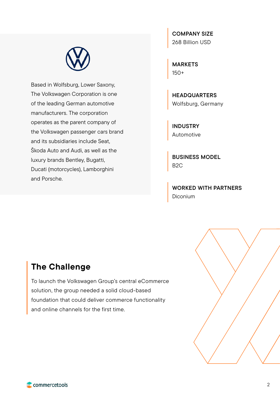

Based in Wolfsburg, Lower Saxony, The Volkswagen Corporation is one of the leading German automotive manufacturers. The corporation operates as the parent company of the Volkswagen passenger cars brand and its subsidiaries include Seat, Škoda Auto and Audi, as well as the luxury brands Bentley, Bugatti, Ducati (motorcycles), Lamborghini and Porsche.

COMPANY SIZE 268 Billion USD

MARKETS 150+

**HEADQUARTERS** Wolfsburg, Germany

INDUSTRY Automotive

BUSINESS MODEL B2C

WORKED WITH PARTNERS Diconium

## The Challenge

To launch the Volkswagen Group's central eCommerce solution, the group needed a solid cloud-based foundation that could deliver commerce functionality and online channels for the first time.

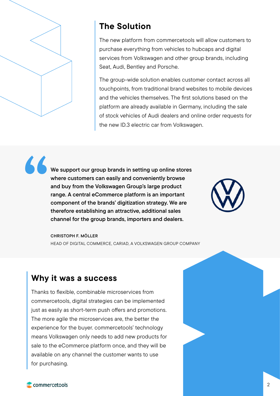

"

## The Solution

The new platform from commercetools will allow customers to purchase everything from vehicles to hubcaps and digital services from Volkswagen and other group brands, including Seat, Audi, Bentley and Porsche.

The group-wide solution enables customer contact across all touchpoints, from traditional brand websites to mobile devices and the vehicles themselves. The first solutions based on the platform are already available in Germany, including the sale of stock vehicles of Audi dealers and online order requests for the new ID.3 electric car from Volkswagen.

We support our group brands in setting up online stores where customers can easily and conveniently browse and buy from the Volkswagen Group's large product range. A central eCommerce platform is an important component of the brands' digitization strategy. We are therefore establishing an attractive, additional sales channel for the group brands, importers and dealers.



CHRISTOPH F. MÖLLER HEAD OF DIGITAL COMMERCE, CARIAD, A VOLKSWAGEN GROUP COMPANY

## Why it was a success

Thanks to flexible, combinable microservices from commercetools, digital strategies can be implemented just as easily as short-term push offers and promotions. The more agile the microservices are, the better the experience for the buyer. commercetools' technology means Volkswagen only needs to add new products for sale to the eCommerce platform once, and they will be available on any channel the customer wants to use for purchasing.